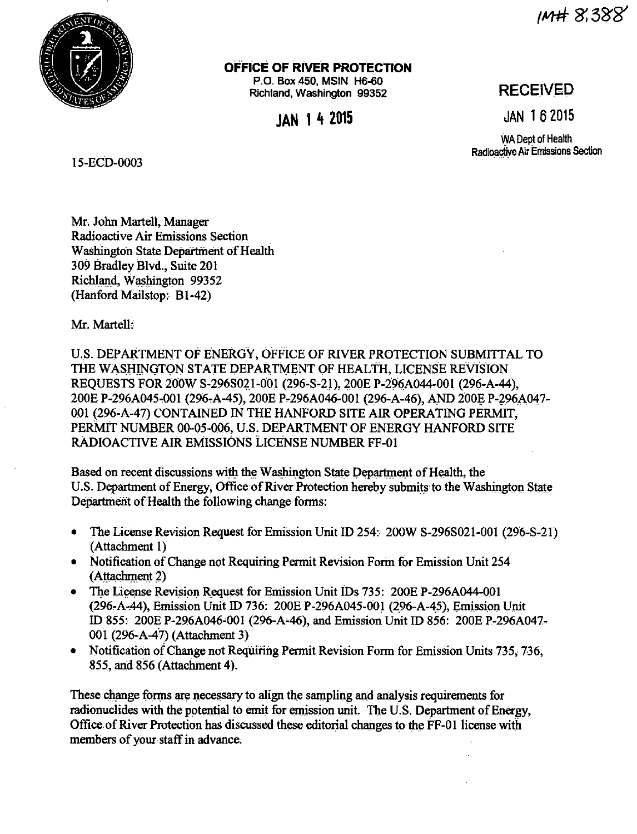im# 8.388



OFFICE OF RIVER PROTECTION

P.O. Box 450, MSIN H6-60 Richland, Washington 99352

**IAN 14 2015** 

# **RECEIVED**

**JÄN 162015** 

WA Dept of Health Radioactive Air Emissions Section

15-ECD-0003

Mr. John Martell, Manager Radioactive Air Emissions Section Washington State Department of Health 309 Bradley Blvd., Suite 201 Richland, Washington 99352 (Hanford Mailstop: B1-42)

Mr. Martell:

U.S. DEPARTMENT OF ENERGY, OFFICE OF RIVER PROTECTION SUBMITTAL TO THE WASHINGTON STATE DEPARTMENT OF HEALTH, LICENSE REVISION REQUESTS FOR 200W S-296S021-001 (296-S-21), 200E P-296A044-001 (296-A-44), 200E P-296A045-001 (296-A-45), 200E P-296A046-001 (296-A-46), AND 200E P-296A047-001 (296-A-47) CONTAINED IN THE HANFORD SITE AIR OPERATING PERMIT. PERMIT NUMBER 00-05-006, U.S. DEPARTMENT OF ENERGY HANFORD SITE **RADIOACTIVE AIR EMISSIONS LICENSE NUMBER FF-01** 

Based on recent discussions with the Washington State Department of Health, the U.S. Department of Energy, Office of River Protection hereby submits to the Washington State Department of Health the following change forms:

- The License Revision Request for Emission Unit ID 254: 200W S-2968021-001 (296-S-21) (Attachment 1)
- Notification of Change not Requiring Permit Revision Form for Emission Unit 254 (Attachment 2)
- The License Revision Request for Emission Unit IDs 735: 200E P-296A044-001 (296-A-44), Emission Unit ID 736: 200E P-296A045-001 (296-A-45), Emission Unit ID 855: 200E P-296A046-001 (296-A-46), and Emission Unit ID 856: 200E P-296A047-001 (296-A-47) (Attachment 3)
- Notification of Change not Requiring Permit Revision Form for Emission Units 735, 736. 855, and 856 (Attachment 4).

These change forms are necessary to align the sampling and analysis requirements for radionuclides with the potential to emit for emission unit. The U.S. Department of Energy, Office of River Protection has discussed these editorial changes to the FF-01 license with members of your staff in advance.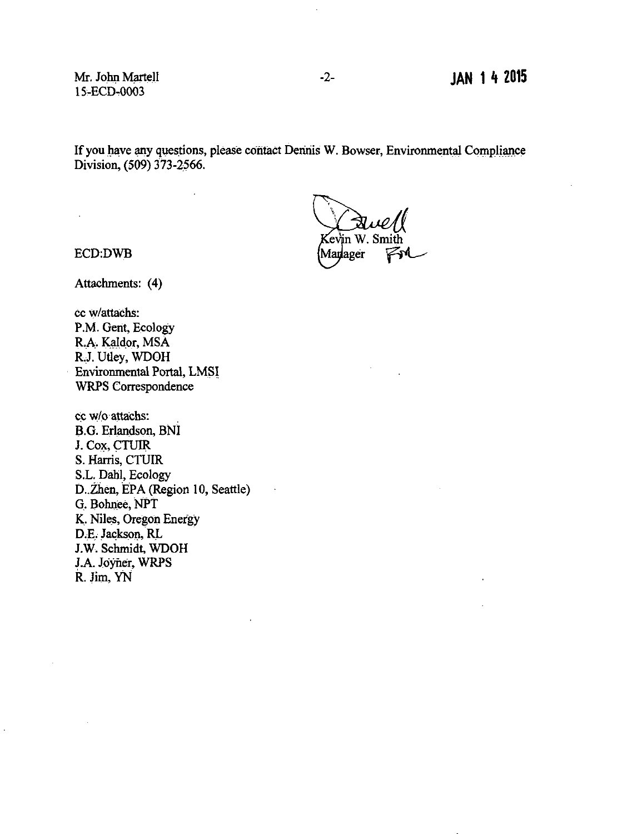Mr. John Martell 15-ECD-0003

If you have any questions, please contact Dennis W. Bowser, Environmental Compliance Division, (509) 373-2566.

in W. Smith lev Marlager

ECD:DWB

 $\ddot{\phantom{a}}$ 

Attachments: (4)

cc w/attachs: P.M. Gent, Ecology R.A. Kaldor, MSA R.J. Utley, WDOH · Environmental Portal, LMSI. WRPS Correspondence

cc w/o attachs: B.G. Erlandson, BNI J. Cox, CTUIR S. Harris, CTUIR S.L. Dahl, Ecology D. Zhen, EPA (Region 10, Seattle) G. Bohnee, NPT K. Niles, Oregon Energy D.E. Jackson, RL J.W. Schmidt, WDOH J.A. Joyner, WRPS R. Jim, YN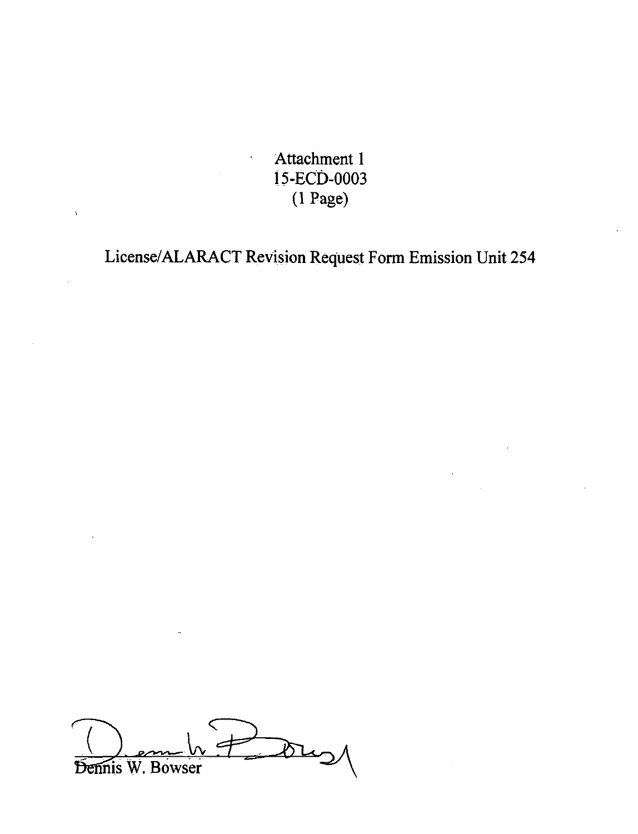Attachment 1 l 5-EC0-0003 (1 Page)

License/ALARACT Revision Request Form Emission Unit 254



 $\mathbf{A}$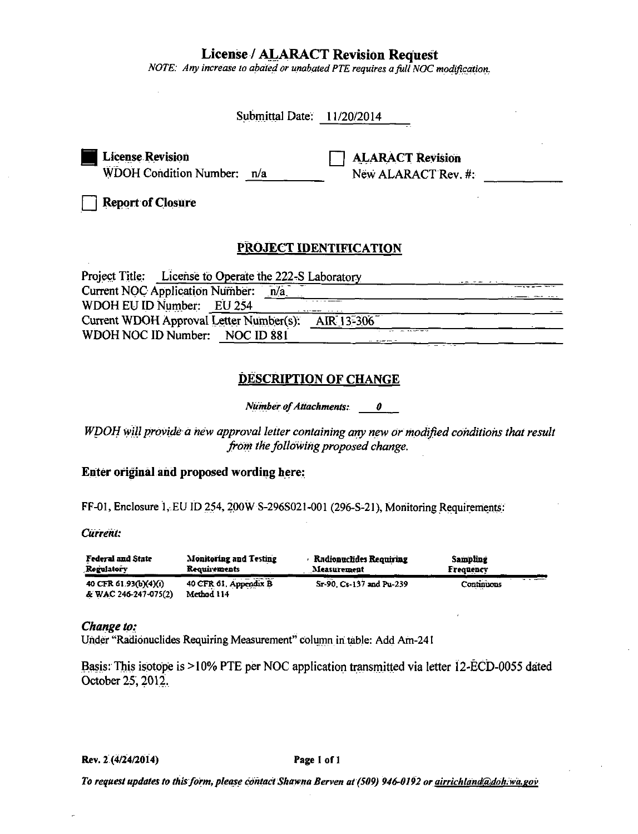# **License / ALARACT Revision Request**

NOTE: Any increase to abated or unabated PTE requires a full NOC modification.

| Submittal Date: 11/20/2014                                                                                                                                                                                         |
|--------------------------------------------------------------------------------------------------------------------------------------------------------------------------------------------------------------------|
| <b>License Revision</b><br><b>ALARACT Revision</b><br>WDOH Condition Number: n/a<br>New ALARACT Rev. #:                                                                                                            |
| <b>Report of Closure</b>                                                                                                                                                                                           |
| PROJECT IDENTIFICATION                                                                                                                                                                                             |
| Project Title: License to Operate the 222-S Laboratory<br>Current NOC Application Number: n/a<br>WDOH EU ID Number: EU 254<br>Current WDOH Approval Letter Number(s): AIR 13-306<br>WDOH NOC ID Number: NOC ID 881 |
| <b>DESCRIPTION OF CHANGE</b>                                                                                                                                                                                       |
| Number of Attachments: 0                                                                                                                                                                                           |
| WDOH will provide a new approval letter containing any new or modified conditions that result<br>from the following proposed change.                                                                               |
| Enter original and proposed wording here:                                                                                                                                                                          |
| FF-01, Enclosure $1$ , EU ID 254, 200W S-296S021-001 (296-S-21), Monitoring Requirements:<br>Current:                                                                                                              |

| Federal and State     | <b>Monitoring and Testing</b> | <b>Radionuclides Requiring</b> | <b>Sampling</b> |
|-----------------------|-------------------------------|--------------------------------|-----------------|
| Regulatory            | <b>Requirements</b>           | Measurement                    | Frequency       |
| 40 CFR 61.93(b)(4)(i) | 40 CFR 61, Appendix B         | Sr-90, Cs-137 and Pu-239       | Continuous      |
| & WAC 246-247-075(2)  | Method 114                    |                                |                 |

# Change to:

Under "Radionuclides Requiring Measurement" column in table: Add Am-241

Basis: This isotope is >10% PTE per NOC application transmitted via letter 12-ECD-0055 dated October 25, 2012.

Rev. 2 (4/24/2014)

#### Page 1 of 1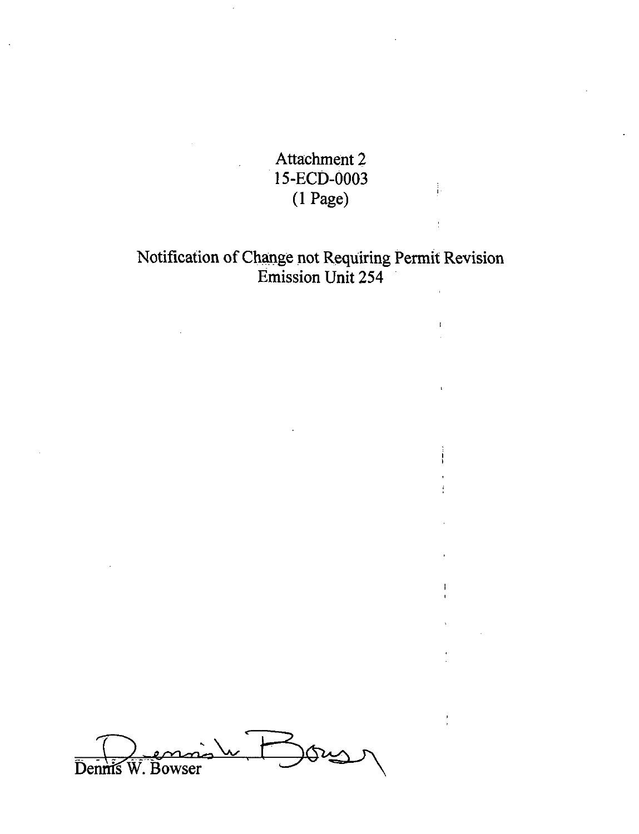Attachment 2 . l 5-ECD-0003 (1 Page)

 $\frac{1}{1}$ 

ŧ

Ţ.

 $\mathbf{I}$ 

# Notification of Change not Requiring Permit Revision Emission Unit 254

Dennis W. Bowser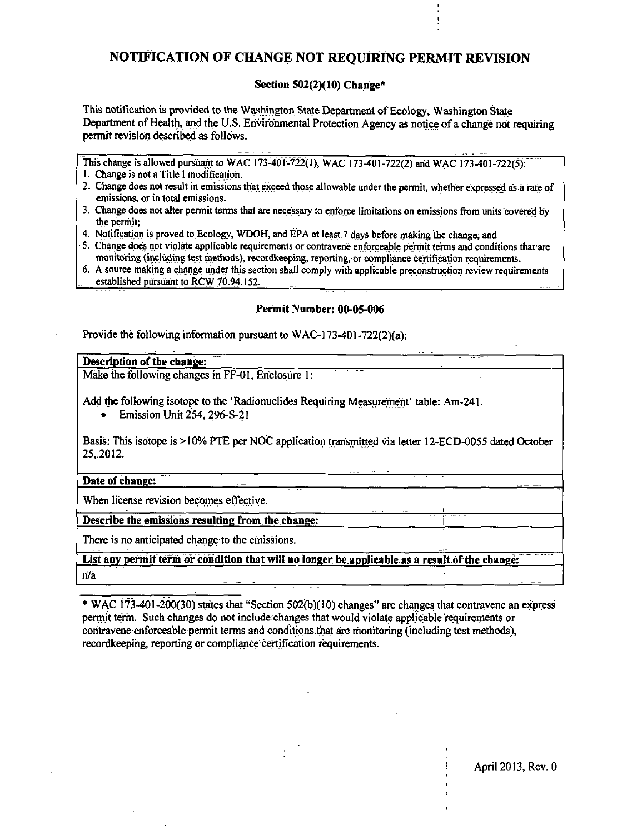# NOTIFICATION OF CHANGE NOT REOUIRING PERMIT REVISION

# Section  $502(2)(10)$  Change\*

This notification is provided to the Washington State Department of Ecology, Washington State Department of Health, and the U.S. Environmental Protection Agency as notice of a change not requiring permit revision described as follows.

This change is allowed pursuant to WAC 173-401-722(1), WAC 173-401-722(2) and WAC 173-401-722(5).

- 1. Change is not a Title I modification.
- 2. Change does not result in emissions that exceed those allowable under the permit, whether expressed as a rate of emissions, or in total emissions.
- 3. Change does not alter permit terms that are necessary to enforce limitations on emissions from units covered by the permit:
- 4. Notification is proved to Ecology, WDOH, and EPA at least 7 days before making the change, and
- 5. Change does not violate applicable requirements or contravene enforceable permit terms and conditions that are monitoring (including test methods), recordkeeping, reporting, or compliance certification requirements.
- 6. A source making a change under this section shall comply with applicable preconstruction review requirements established pursuant to RCW 70.94.152.

## Permit Number: 00-05-006

Provide the following information pursuant to WAC-173-401-722(2)(a):

# Description of the change:

Make the following changes in FF-01, Enclosure 1:

Add the following isotope to the 'Radionuclides Requiring Measurement' table: Am-241.

Emission Unit 254, 296-S-21

Basis: This isotope is >10% PTE per NOC application transmitted via letter 12-ECD-0055 dated October 25.2012.

## Date of change:

When license revision becomes effective.

Describe the emissions resulting from the change:

There is no anticipated change to the emissions.

List any permit term or condition that will no longer be applicable as a result of the change;  $n/a$ 

\* WAC 173-401-200(30) states that "Section 502(b)(10) changes" are changes that contravene an express permit term. Such changes do not include changes that would violate applicable requirements or contravene enforceable permit terms and conditions that are monitoring (including test methods). recordkeeping, reporting or compliance certification requirements.

April 2013, Rev. 0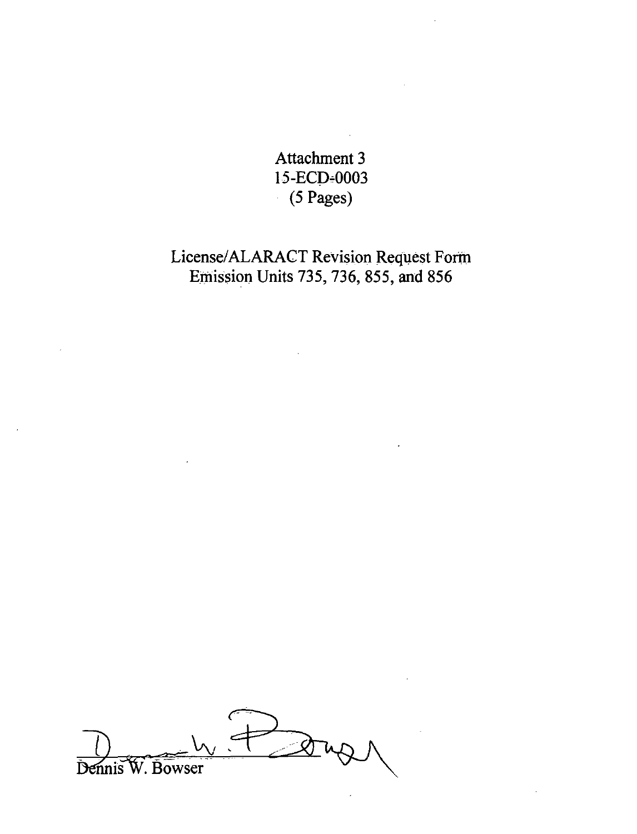Attachment 3 15-ECD-0003  $(5$  Pages)

# License/ALARACT Revision Request Fortn Emission Units 735, 736, 855, and 856

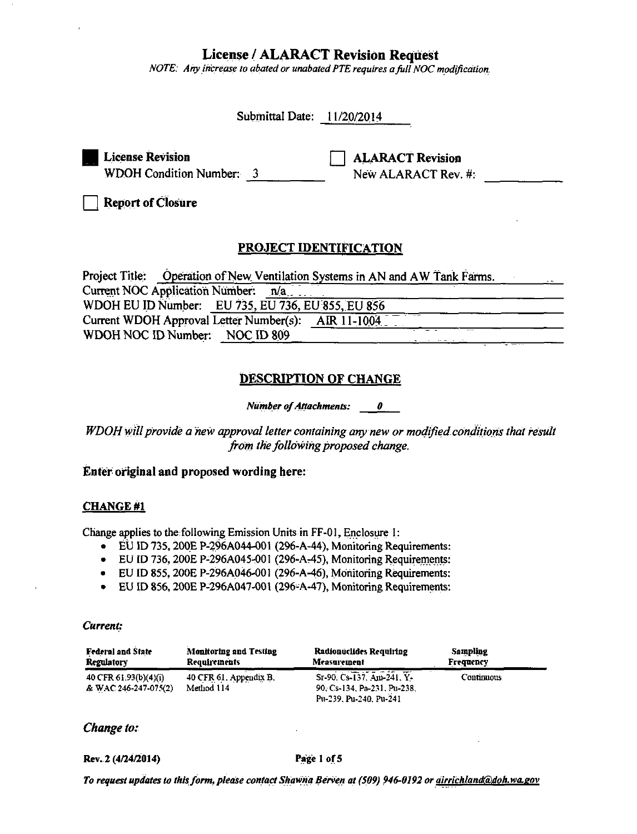# **License / ALARACT Revision Request**

NOTE: Any increase to abated or unabated PTE requires a full NOC modification.

| Submittal Date: 11/20/2014                                                                            |
|-------------------------------------------------------------------------------------------------------|
| <b>License Revision</b><br><b>ALARACT Revision</b><br>WDOH Condition Number: 3<br>New ALARACT Rev. #: |
| <b>Report of Closure</b>                                                                              |
| PROJECT IDENTIFICATION                                                                                |
| Project Title: Operation of New Ventilation Systems in AN and AW Tank Farms.                          |
| Current NOC Application Number: n/a                                                                   |
| WDOH EU ID Number: EU 735, EU 736, EU 855, EU 856                                                     |
| Current WDOH Approval Letter Number(s): AIR 11-1004                                                   |

# **DESCRIPTION OF CHANGE**

**Number of Attachments:**  $\theta$ 

WDOH will provide a new approval letter containing any new or modified conditions that result from the following proposed change.

# Enter original and proposed wording here:

WDOH NOC ID Number: NOC ID 809

## **CHANGE#1**

Change applies to the following Emission Units in FF-01, Enclosure 1:

- $\bullet$  EU ID 735, 200E P-296A044-001 (296-A-44), Monitoring Requirements:
- EU ID 736, 200E P-296A045-001 (296-A-45), Monitoring Requirements:
- EU ID 855, 200E P-296A046-001 (296-A-46), Monitoring Requirements:
- EU ID 856, 200E P-296A047-001 (296-A-47), Monitoring Requirements:

#### Current:

| <b>Federal and State</b>                      | <b>Monitoring and Testing</b>        | Radionuclides Requiring                                                            | Sampling          |
|-----------------------------------------------|--------------------------------------|------------------------------------------------------------------------------------|-------------------|
| Regulatory                                    | <b>Requirements</b>                  | Measurement                                                                        | Frequency         |
| 40 CFR 61.93(b)(4)(i)<br>& WAC 246-247-075(2) | 40 CFR 61, Appendix B.<br>Method 114 | Sr-90, Cs-137, Am-241, Y-<br>90, Cs-134, Pa-231, Pu-238.<br>Pu-239, Pu-240, Pu-241 | <b>Continuous</b> |

# Change to:

#### Rev. 2 (4/24/2014)

#### Page 1 of 5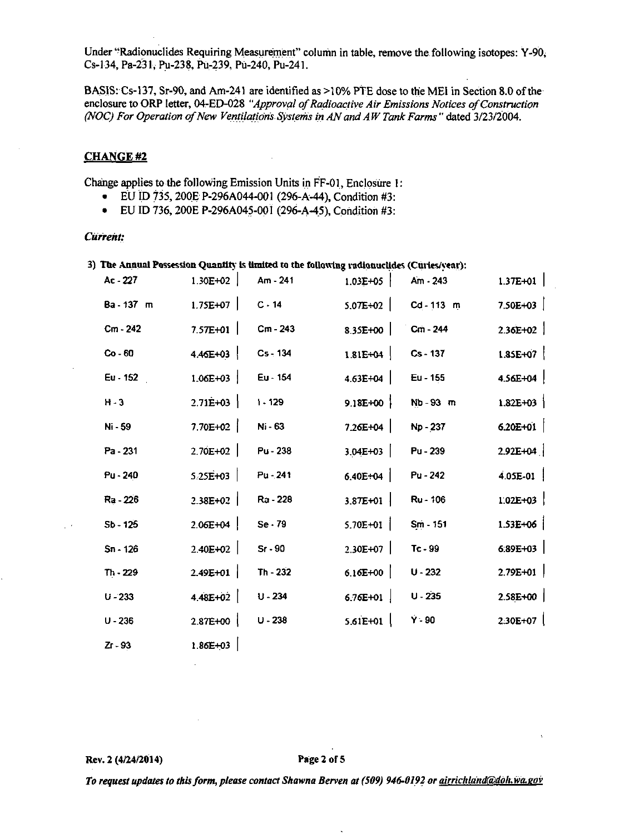Under "Radionuclides Requiring Measurement" column in table, remove the following isotopes: Y-90, Cs-134, Pa-231, Pu-238, Pu-239, Pu-240, Pu-241.

BASIS: Cs-137, Sr-90, and Am-241 are identified as >10% PTE dose to the MEI in Section 8.0 of the enclosure to ORP letter, 04-ED-028 "Approval of Radioactive Air Emissions Notices of Construction (NOC) For Operation of New Ventilations Systems in AN and AW Tank Farms" dated 3/23/2004.

# **CHANGE#2**

Change applies to the following Emission Units in FF-01, Enclosure 1:

- EU ID 735, 200E P-296A044-001 (296-A-44), Condition #3:
- EU ID 736, 200E P-296A045-001 (296-A-45), Condition #3:

#### Current:

 $\mathbb{R}^3$ 

|            |              |          | 3) The Annual Possession Quantity is limited to the following radionuclides (Curies/vear): |          |  |
|------------|--------------|----------|--------------------------------------------------------------------------------------------|----------|--|
| $Ac - 227$ | $1.30F + 02$ | Am - 241 | $1.03$ $F+05$                                                                              | Am . 243 |  |

| Ac - 227   | $1.30E + 02$     | Am - 241   | $1.03E + 05$     | Am - 243   | $1.37E+01$   |
|------------|------------------|------------|------------------|------------|--------------|
| Ba - 137 m | $1.75E+07$       | $C - 14$   | $5.07E + 02$     | Cd-113 m   | $7.50E + 03$ |
| Cm - 242   | $7.57E+01$       | Cm - 243   | 8.35E+00         | Cm - 244   | $2.36E+02$   |
| $Co - 60$  | $4.46E+03$       | $Cs - 134$ | $1.81E+04$       | $Cs - 137$ | $1.85E+07$   |
| Eu - 152   | $1.06E + 03$     | Eu - 154   | $4.63E + 04$     | Eu - 155   | $4.56E + 04$ |
| $H - 3$    | $2.71E+03$       | $1 - 129$  | $9.18E+00$       | Nb-93 m    | $1.82E+03$   |
| Ni - 59    | $7.70E+02$       | Ni - 63    | $7.26E + 04$     | Np - 237   | $6.20E+01$   |
| Pa - 231   | $2.70E+02$       | Pu - 238   | $3.04E+03$       | Pu - 239   | $2.92E+04$   |
| Pu - 240   | $5.25E+03$       | Pu - 241   | $6.40E+04$       | Pu - 242   | $4.05E-01$   |
| Ra - 226   | $2.38E+02$       | Ra - 228   | $3.87E + 01$     | Ru - 106   | $1.02E + 03$ |
| $Sb - 125$ | $2.06E + 04$     | Se.79      | $5.70E + 0I$     | Sm - 151   | $1.53E+06$   |
| $Sn - 126$ | $2.40E+02$       | $Sr - 90$  | 2.30E+07         | Tc - 99    | $6.89E+03$   |
| $Th - 229$ | $2.49E+01$       | $Th - 232$ | $6.16E+00$       | $U - 232$  | $2.79E+01$   |
| $U - 233$  | 4.48E+02 $\vert$ | $U - 234$  | 6.76E+01 $\vert$ | $U - 235$  | $2.58E+00$   |
| $U - 236$  | $2.87E+00$       | $U - 238$  | $5.61E+01$       | $Y - 90$   | $2.30E+07$   |
| $Zr - 93$  | 1.86E+03         |            |                  |            |              |

 $\mathbf{r}$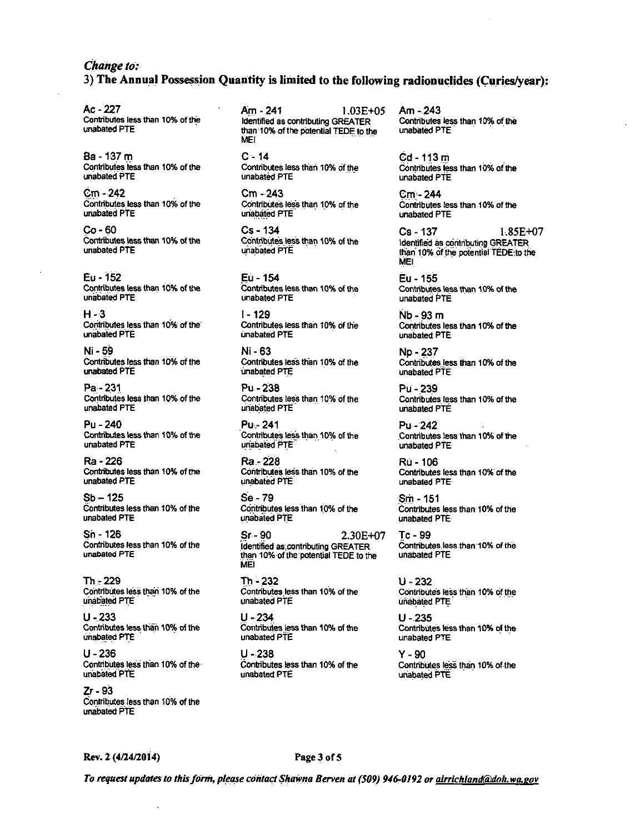# Change to: 3) The Annual Possession Quantity is limited to the following radionuclides (Curies/year):

Ac - 227 Contributes less than 10% of the unabated PTE

Ba - 137 m Contributes less than 10% of the unabated PTE

 $Cm - 242$ Contributes less than 10% of the unabated PTE

 $Co - 60$ Contributes less than 10% of the unabated PTE

Eu - 152 Contributes less than 10% of the unabated PTE

 $H - 3$ Contributes less than 10% of the unabated PTE

Ni - 59 Contributes less than 10% of the unabated PTE

Pa - 231 Contributes less than 10% of the unabated PTE

Pu - 240 Contributes less than 10% of the unabated PTE

Ra - 226 Contributes less than 10% of the unabated PTE

 $Sb - 125$ Contributes less than 10% of the unabated PTE

Sn - 126 Contributes less than 10% of the unabated PTE

 $Th = 229$ Contributes less than 10% of the unabated PTE

 $U - 233$ Contributes less than 10% of the unabated PTE

 $U - 236$ Contributes less than 10% of the unabated PTE

 $Zr - 93$ Contributes less than 10% of the unabated PTE

Am - 241  $1.03E + 05$ Identified as contributing GREATER than 10% of the potential TEDE to the **MFI** 

 $C - 14$ Contributes less than 10% of the unabated PTE

Cm - 243 Contributes less than 10% of the unabated PTE

 $Cs - 134$ Contributes less than 10% of the unabated PTE

Eù - 154 Contributes less than 10% of the unabated PTE

i - 129 Contributes less than 10% of the **unabated PTE** 

Ni - 63 Contributes less than 10% of the unabated PTE

Pu - 238 Contributes less than 10% of the unabated PTE

Pu - 241 Contributes less than 10% of the unabated PTE

Ra - 228 Contributes less than 10% of the unabated PTE

Se - 79 Contributes less than 10% of the unabated PTE

Sr - 90 2.30E+07 Identified as contributing GREATER than 10% of the potential TEDE to the **MEI** 

Th - 232 Contributes less than 10% of the unabated PTE

U - 234 Contributes less than 10% of the unabated PTE

 $U - 238$ Contributes less than 10% of the unabated PTE

Am - 243 Contributes less than 10% of the unabated PTE

 $Cd - 113m$ Contributes less than 10% of the unabated PTE

Cm - 244 Contributes less than 10% of the unabated PTE

Cs - 137 1.85E+07 Identified as contributing GREATER than 10% of the potential TEDE to the **MEI** 

Eu - 155 Contributes less than 10% of the unabated PTE

Nb - 93 m Contributes less than 10% of the unabated PTE

Np - 237 Contributes less than 10% of the unabated PTE

Pu - 239 Contributes less than 10% of the unabated PTE

 $Pu - 242$ Contributes less than 10% of the unabated PTE

Rú - 106 Contributes less than 10% of the unabated PTE

 $Sm - 151$ Contributes less than 10% of the unabated PTE

 $Tc - 99$ Contributes less than 10% of the unabated PTE

 $U - 232$ Contributes less than 10% of the unabated PTE

 $U - 235$ Contributes less than 10% of the unabated PTE

 $Y - 90$ Contributes less than 10% of the unabated PTE

Rev. 2 (4/24/2014)

#### Page 3 of 5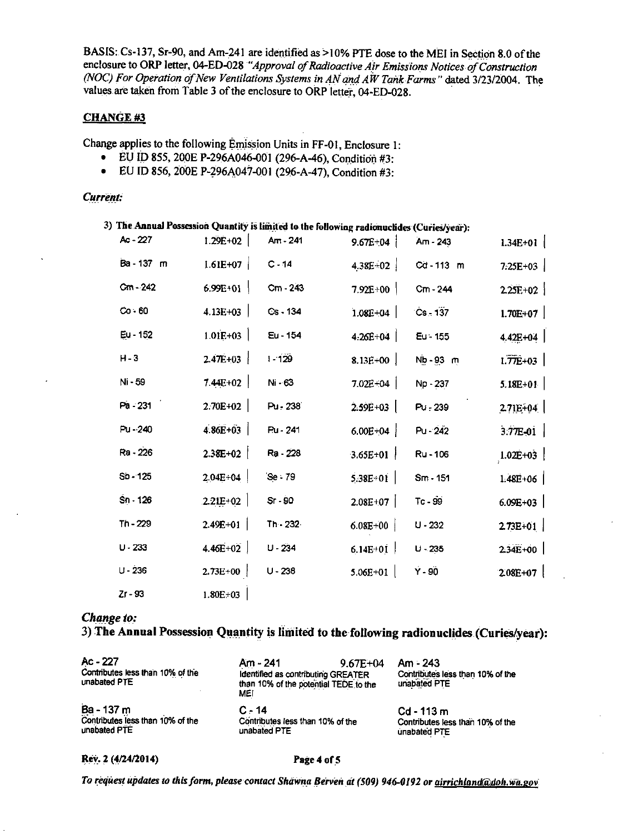BASIS: Cs-137, Sr-90, and Am-241 are identified as >10% PTE dose to the MEI in Section 8.0 of the enclosure to ORP letter, 04-ED-028 "Approval of Radioactive Air Emissions Notices of Construction (NOC) For Operation of New Ventilations Systems in AN and AW Tank Farms" dated 3/23/2004. The values are taken from Table 3 of the enclosure to ORP letter, 04-ED-028.

#### **CHANGE #3**

Change applies to the following Emission Units in FF-01, Enclosure 1:

- EU ID 855, 200E P-296A046-001 (296-A-46), Condition #3:
- EU ID 856, 200E P-296A047-001 (296-A-47), Condition #3:

#### **Current:**

| 3) The Annual Possession Quantity is limited to the following radionuclides (Curies/year): |              |           |              |             |                         |
|--------------------------------------------------------------------------------------------|--------------|-----------|--------------|-------------|-------------------------|
| Ac - 227                                                                                   | $1.29E + 02$ | Am - 241  | $9.67E + 04$ | Am - 243    | $1.34E + 01$            |
| Ba - 137 m                                                                                 | $1.61E+07$   | $C - 14$  | $4.38E+02$   | Cd-113 m    | 7:25E+03                |
| $Cm - 242$                                                                                 | $6.99E+01$   | Cm - 243  | $7.92E + 00$ | Cm - 244    | $2.25E+02$              |
| $Co-60$                                                                                    | $4.13E+03$   | Cs - 134  | $1.08E + 04$ | $Cs - 137$  | $1.70E+07$              |
| Eu - 152                                                                                   | $1.01E + 03$ | Eu - 154  | $4.26E + 04$ | Eu - 155    | $4.42E + 04$            |
| $H - 3$                                                                                    | $2.47E+03$   | $1 - 129$ | $8.13E - 00$ | $Nb - 93$ m | $1.\overline{77E} + 03$ |
| Ni - 59                                                                                    | $7.44E+02$   | Ni - 63   | $7.02E + 04$ | Np - 237    | $5.18E+01$              |
| Pa - 231                                                                                   | 2.70E+02     | Pu - 238  | $2.59E + 03$ | Pu - 239    | $2.71E+04$              |
| Pu - 240                                                                                   | $4.86E + 03$ | Ru - 241  | $6.00E + 04$ | Pu - 242    | $3.77E - 01$            |
| Ra - 226                                                                                   | $2.38E+02$   | Ra 228    | $3.65E+01$   | Ru - 106    | $1.02E+03$              |
| $Sb - 125$                                                                                 | $2.04E + 04$ | Se - 79   | $5.38E + 01$ | $Sm - 151$  | $1.48E + 06$            |
| $Sn - 126$                                                                                 | $2.21E + 02$ | Sr - 90   | $2.08E+07$   | Tc - 99     | $6.09E + 03$            |
| $Th - 229$                                                                                 | $2.49E+01$   | Th 232    | $6.08E + 00$ | $U - 232$   | $2.73E+01$              |
| $U - 233$                                                                                  | 4.46E+02     | $U - 234$ | $6.14E+01$   | $U - 235$   | 2.34E+00                |
| $U - 236$                                                                                  | $2.73E+00$   | $U - 238$ | $5.06E + 01$ | $Y - 90$    | $2.08E + 07$            |
| $Zr - 93$                                                                                  | $1.80E + 03$ |           |              |             |                         |

#### Change to:

# 3) The Annual Possession Quantity is limited to the following radionuclides (Curies/year):

| Ac - 227<br>Contributes less than 10% of the<br>unabated PTE | Am - 241<br>Identified as contributing GREATER<br>than 10% of the potential TEDE to the<br>MEI | $9.67E + 04$ | Am - 243<br>Contributes less than 10% of the<br>unabated PTE |
|--------------------------------------------------------------|------------------------------------------------------------------------------------------------|--------------|--------------------------------------------------------------|
| Ba - 137 m                                                   | $C - 14$                                                                                       |              | Cd - 113 m                                                   |
| Contributes less than 10% of the                             | Contributes less than 10% of the                                                               |              | Contributes less than 10% of the                             |
| unabated PTE                                                 | unabated PTE                                                                                   |              | unabated PTE                                                 |

Rev. 2 (4/24/2014)

#### Page 4 of 5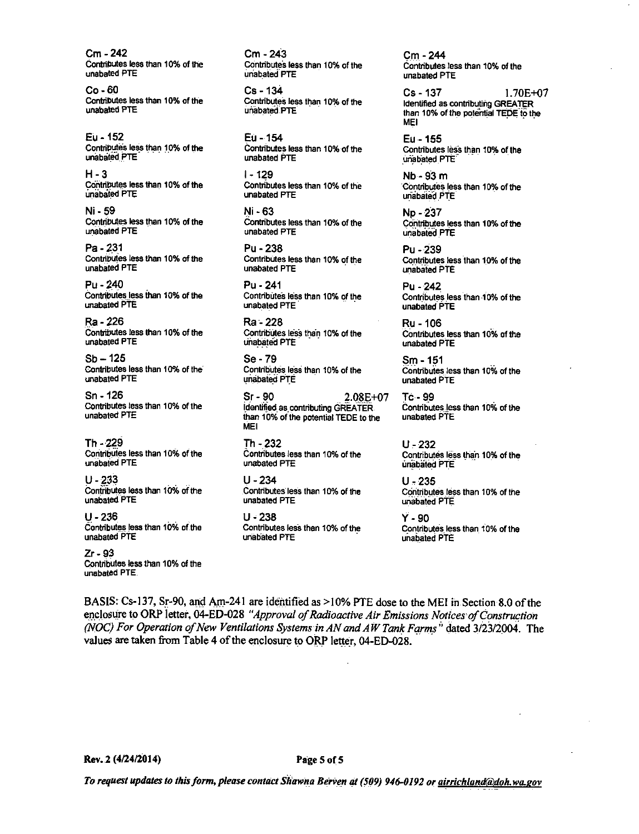$Cm - 242$ Contributes less than 10% of the unabated PTE

 $Co - 60$ Contributes less than 10% of the unabated PTE

Fu - 152 Contributes less than 10% of the unabated PTE

 $H - 3$ Contributes less than 10% of the unabated PTE

Ni - 59 Contributes less than 10% of the unabated PTE

Pa - 231 Contributes less than 10% of the unabated PTE

 $P_{II}$  - 240 Contributes less than 10% of the unabated PTE

Ra - 226 Contributes less than 10% of the unabated PTE

 $Sb - 125$ Contributes less than 10% of the unabated PTE

Sn - 126 Contributes less than 10% of the unabated PTE

Th - 229 Contributes less than 10% of the unabated PTE

 $U - 233$ Contributes less than 10% of the unabated PTE

 $U - 236$ Contributes less than 10% of the unabated PTE

 $Zr - 93$ Contributes less than 10% of the unabated PTE.

 $Cm - 243$ Contributes less than 10% of the unabated PTE

 $Cs - 134$ Contributes less than 10% of the unabated PTE

Eu - 154 Contributes less than 10% of the unabated PTE

 $1 - 129$ Contributes less than 10% of the unabated PTE

Ni - 63 Contributes less than 10% of the unabated PTE

Pu - 238 Contributes less than 10% of the unabated PTE

Pu - 241 Contributes less than 10% of the unabated PTE

Ra - 228 Contributes less than 10% of the unabated PTE

Se - 79 Contributes less than 10% of the unabated PTE

 $Sr - 90$  $2.08E + 07$ Identified as contributing GREATER. than 10% of the potential TEDE to the **NEL** 

Th - 232 Contributes less than 10% of the unabated PTE

 $U - 234$ Contributes less than 10% of the unabated PTE

 $U - 238$ Contributes less than 10% of the unabated PTE

Cm - 244 Contributes less than 10% of the unabated PTF

1.70E+07  $Cs - 137$ Identified as contributing GREATER than 10% of the potential TEDE to the **MFI** 

Eu - 155 Contributes less than 10% of the unabated PTE

 $Nb - 93 m$ Contributes less than 10% of the unabated PTE

Np - 237 Contributes less than 10% of the unabated PTE

Pu - 239 Contributes less than 10% of the unabated PTE

Pu - 242 Contributes less than 10% of the unabated PTE

Ru - 106 Contributes less than 10% of the unabated PTE

Sm - 151 Contributes less than 10% of the unabated PTE

Tc - 99 Contributes less than 10% of the unabated PTE

 $U - 232$ Contributes less than 10% of the unabated PTE

 $U - 235$ Contributes less than 10% of the unabated PTE

Y - 90 Contributes less than 10% of the unabated PTE

BASIS: Cs-137, Sr-90, and Am-241 are identified as >10% PTE dose to the MEI in Section 8.0 of the enclosure to ORP letter, 04-ED-028 "Approval of Radioactive Air Emissions Notices of Construction (NOC) For Operation of New Ventilations Systems in AN and AW Tank Farms<sup>"</sup> dated 3/23/2004. The values are taken from Table 4 of the enclosure to ORP letter, 04-ED-028.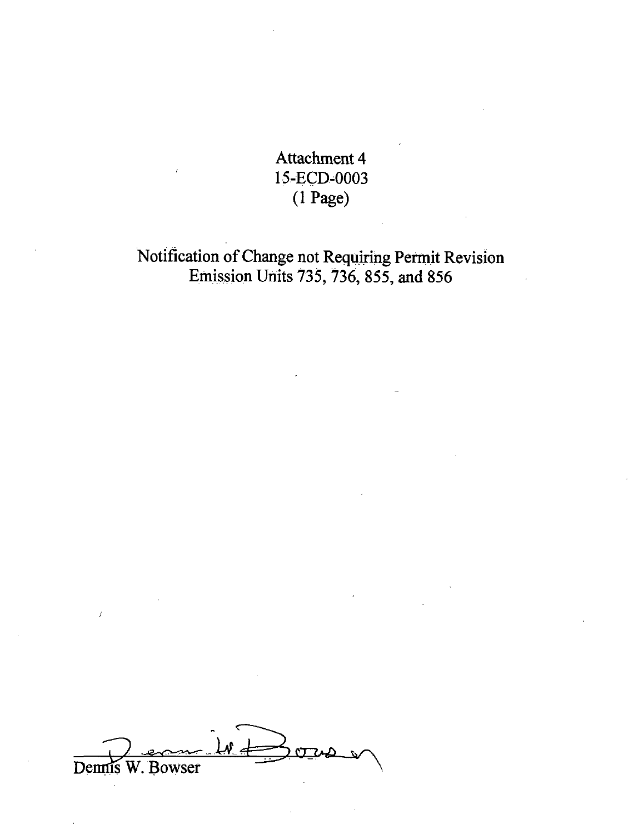Attachment 4 15-ECD~0003 (1 Page)

Notification of Change not Requiring Permit Revision Emission Units 735, 736, 855, and 856

Dennis W. Bowser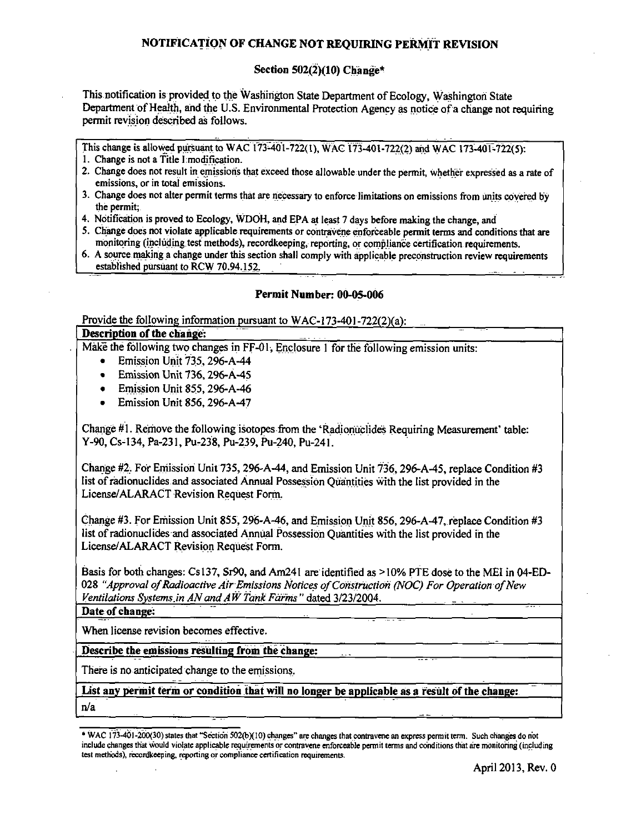# NOTIFICATION OF CHANGE NOT REOUIRING PERMIT REVISION

# Section  $502(2)(10)$  Change\*

This notification is provided to the Washington State Department of Ecology, Washington State Department of Health, and the U.S. Environmental Protection Agency as notice of a change not requiring permit revision described as follows.

This change is allowed pursuant to WAC 173-401-722(1), WAC 173-401-722(2) and WAC 173-401-722(5).

- 1. Change is not a Title I modification.
- 2. Change does not result in emissions that exceed those allowable under the permit, whether expressed as a rate of emissions, or in total emissions.
- 3. Change does not alter permit terms that are necessary to enforce limitations on emissions from units covered by the permit:
- 4. Notification is proved to Ecology, WDOH, and EPA at least 7 days before making the change, and
- 5. Change does not violate applicable requirements or contravene enforceable permit terms and conditions that are monitoring (including test methods), recordkeeping, reporting, or compliance certification requirements.
- 6. A source making a change under this section shall comply with applicable preconstruction review requirements established pursuant to RCW 70.94.152.

# Permit Number: 00-05-006

Provide the following information pursuant to  $WAC-173-401-722(2)(a)$ :

# Description of the change:

Make the following two changes in FF-01, Enclosure 1 for the following emission units:

- $\bullet$ Emission Unit 735, 296-A-44
- **Emission Unit 736, 296-A-45**
- $\bullet$  Emission Unit 855, 296-A-46
- Emission Unit 856, 296-A-47  $\bullet$

Change #1. Remove the following isotopes from the 'Radionuclides Requiring Measurement' table: Y-90, Cs-134, Pa-231, Pu-238, Pu-239, Pu-240, Pu-241.

Change #2. For Emission Unit 735, 296-A-44, and Emission Unit  $\overline{736}$ , 296-A-45, replace Condition #3 list of radionuclides and associated Annual Possession Quantities with the list provided in the License/ALARACT Revision Request Form.

Change #3. For Emission Unit 855, 296-A-46, and Emission Unit 856, 296-A-47, replace Condition #3 list of radionuclides and associated Annual Possession Quantities with the list provided in the License/ALARACT Revision Request Form.

Basis for both changes: Cs137, Sr90, and Am241 are identified as >10% PTE dose to the MEI in 04-ED-028 "Approval of Radioactive Air Emissions Notices of Construction (NOC) For Operation of New Ventilations Systems in AN and AW Tank Farms" dated 3/23/2004.

Date of change:

When license revision becomes effective.

Describe the emissions resulting from the change:

There is no anticipated change to the emissions.

List any permit term or condition that will no longer be applicable as a result of the change:  $n/a$ 

<sup>\*</sup> WAC 173-401-200(30) states that "Section 502(b)(10) changes" are changes that contravene an express permit term. Such changes do not include changes that would violate applicable requirements or contravene enforceable permit terms and conditions that are monitoring (including test methods), recordkeeping, reporting or compliance certification requirements.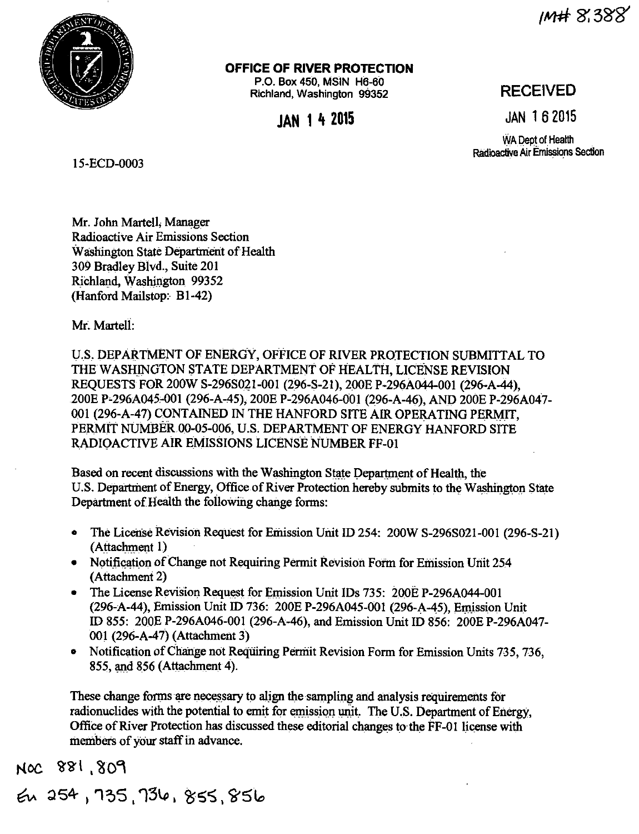IM# 8.388



# OFFICE OF RIVER PROTECTION

P.O. Box 450, MSIN H6-60 Richland, Washington 99352

**IAN 14 2015** 

# **RECEIVED**

**JAN 162015** 

WA Dept of Health Radioactive Air Emissions Section

15-ECD-0003

Mr. John Martell, Manager Radioactive Air Emissions Section Washington State Department of Health 309 Bradley Blvd., Suite 201 Richland. Washington 99352 (Hanford Mailstop: B1-42)

Mr. Martell:

U.S. DEPARTMENT OF ENERGY, OFFICE OF RIVER PROTECTION SUBMITTAL TO THE WASHINGTON STATE DEPARTMENT OF HEALTH, LICENSE REVISION REQUESTS FOR 200W S-296S021-001 (296-S-21), 200E P-296A044-001 (296-A-44), 200E P-296A045-001 (296-A-45), 200E P-296A046-001 (296-A-46), AND 200E P-296A047-001 (296-A-47) CONTAINED IN THE HANFORD SITE AIR OPERATING PERMIT. PERMIT NUMBER 00-05-006, U.S. DEPARTMENT OF ENERGY HANFORD SITE RADIOACTIVE AIR EMISSIONS LICENSE NUMBER FF-01

Based on recent discussions with the Washington State Department of Health, the U.S. Department of Energy, Office of River Protection hereby submits to the Washington State Department of Health the following change forms:

- The License Revision Request for Emission Unit ID 254: 200W S-296S021-001 (296-S-21)  $\bullet$ (Attachment 1)
- Notification of Change not Requiring Permit Revision Form for Emission Unit 254 (Attachment 2)
- The License Revision Request for Emission Unit IDs 735: 200E P-296A044-001 (296-A-44), Emission Unit ID 736: 200E P-296A045-001 (296-A-45), Emission Unit ID 855: 200E P-296A046-001 (296-A-46), and Emission Unit ID 856: 200E P-296A047-001 (296-A-47) (Attachment 3)
- Notification of Change not Requiring Permit Revision Form for Emission Units 735, 736, 855, and 856 (Attachment 4).

These change forms are necessary to align the sampling and analysis requirements for radionuclides with the potential to emit for emission unit. The U.S. Department of Energy, Office of River Protection has discussed these editorial changes to the FF-01 license with members of your staff in advance.

NOC 881,809

En 254, 735, 736, 855, 856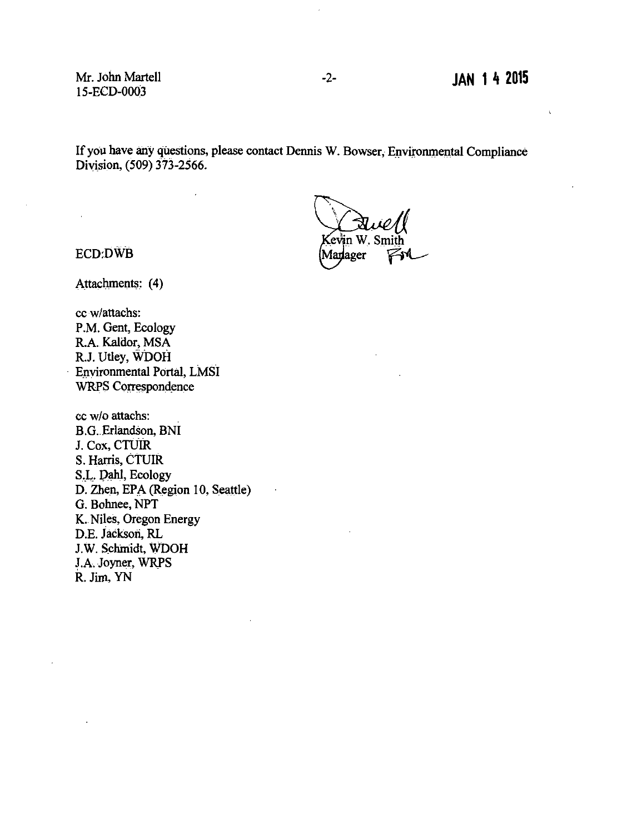Mr. John Martell 15-ECD-0003

 $\ddot{\phantom{a}}$ 

If you have any questions, please contact Dennis W. Bowser, Environmental Compliance Division, (509) 373-2566.

evin W. Smith Marlager

ECD:DWB

Attachments: (4)

cc w/attachs: P.M. Gent, Ecology R.A. Kaldor, MSA R.J. Utley, WDOH Environmental Portal, LMSI WRPS Correspondence

cc w/o attachs: B.G. Erlandson, BNI J. Cox, CTUIR S. Harris, CTUIR S.L. Dahl, Ecology D. Zhen, EPA (Region 10, Seattle) G. Bohnee, NPT **K.** Niles, Oregon Energy D.E. Jackson, RL J.W. Schmidt, WDOH J.A. Joyner, WRPS R. Jim, YN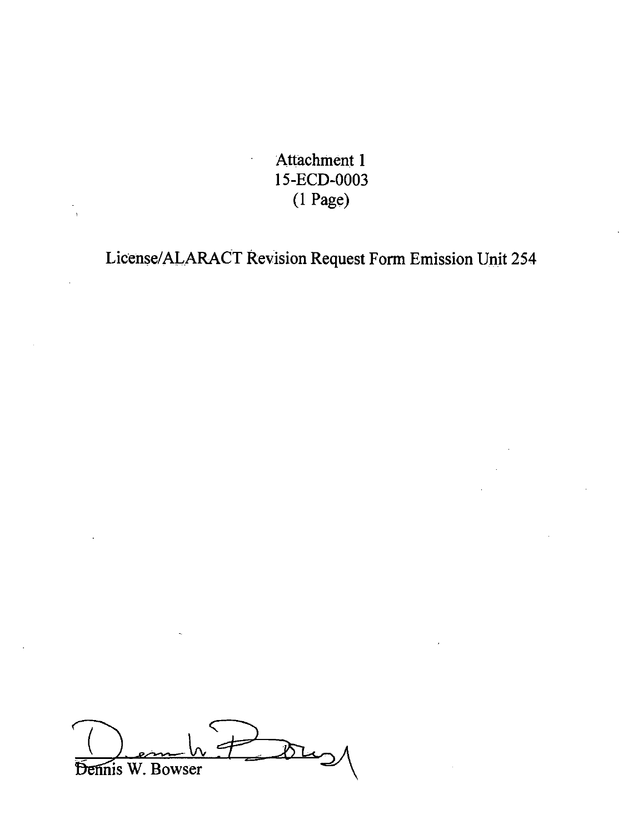Attachment 1 15-ECD-0003 (1 Page)

License/ALARACT Revision Request Fonn Emission Unit 254

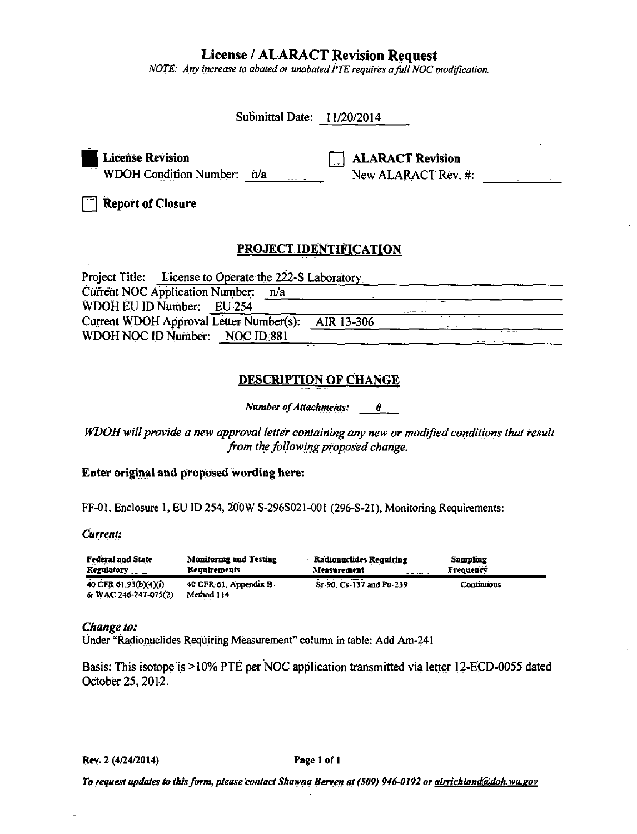**License / ALARACT Revision Request** 

NOTE: Any increase to abated or unabated PTE requires a full NOC modification.

| Submittal Date: 11/20/2014                                      |                                                |
|-----------------------------------------------------------------|------------------------------------------------|
| <b>License Revision</b><br><b>WDOH Condition Number:</b><br>n/a | <b>ALARACT Revision</b><br>New ALARACT Rev. #: |
| <b>Report of Closure</b>                                        |                                                |
| <b>PROJECT IDENTIFICATION</b>                                   |                                                |
| Project Title: License to Operate the 222-S Laboratory          |                                                |
| Current NOC Application Number:<br>n/a                          |                                                |
| WDOH EU ID Number: EU 254                                       |                                                |
| Current WDOH Approval Letter Number(s):                         | AIR 13-306                                     |
| WDOH NOC ID Number: NOC ID 881                                  |                                                |
| <b>DESCRIPTION OF CHANGE</b><br><b>Number of Attachments:</b>   | 0                                              |

WDOH will provide a new approval letter containing any new or modified conditions that result from the following proposed change.

# Enter original and proposed wording here:

FF-01, Enclosure 1, EU ID 254, 200W S-296S021-001 (296-S-21), Monitoring Requirements:

Current:

| <b>Federal and State</b>                      | <b>Monitoring and Testing</b>        | <b>Radionuclides Requiring</b> | Sampling         |
|-----------------------------------------------|--------------------------------------|--------------------------------|------------------|
| <b>Regulatory</b>                             | Requirements                         | Measurement                    | <b>Frequency</b> |
| 40 CFR 61.93(b)(4)(i)<br>& WAC 246-247-075(2) | 40 CFR 61, Appendix B.<br>Method 114 | Sr-90, Cs-137 and Pu-239       | Continuous       |

# Change to:

Under "Radionuclides Requiring Measurement" column in table: Add Am-241

Basis: This isotope is >10% PTE per NOC application transmitted via letter 12-ECD-0055 dated October 25, 2012.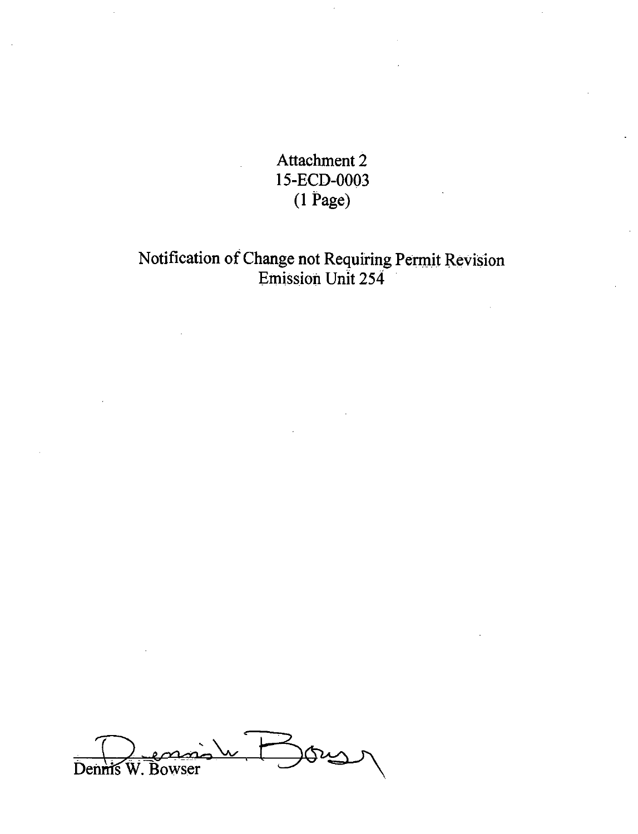Attachment 2 15-ECD-0003 (1 Page)

# Notification of Change not Requiring Permit Revision Emission Unit 254

**GUS** Dennis W. Bowser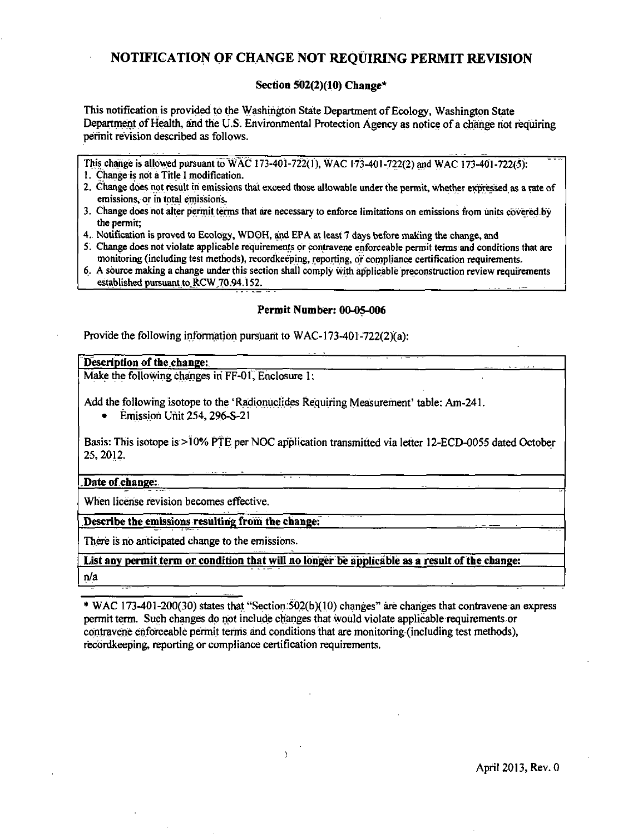# NOTIFICATION OF CHANGE NOT REQUIRING PERMIT REVISION

# Section 502(2)(10) Change\*

This notification is provided to the Washington State Department of Ecology, Washington State Department of Health, and the U.S. Environmental Protection Agency as notice of a change not requiring perinit revision described as follows.

This change is allowed pursuant to WAC 173-401-722(1), WAC 173-401-722(2) and WAC 173-401-722(5).

- 1. Change is not a Title I modification.
- 2. Change does not result in emissions that exceed those allowable under the permit, whether expressed as a rate of emissions, or in total emissions.
- 3. Change does not alter permit terms that are necessary to enforce limitations on emissions from units covered by the permit:
- 4. Notification is proved to Ecology, WDOH, and EPA at least 7 days before making the change, and
- 5. Change does not violate applicable requirements or contravene enforceable permit terms and conditions that are monitoring (including test methods), recordkeeping, reporting, or compliance certification requirements.
- 6. A source making a change under this section shall comply with applicable preconstruction review requirements established pursuant to RCW 70.94.152.

# Permit Number: 00-05-006

Provide the following information pursuant to WAC-173-401-722(2)(a):

#### Description of the change:

Make the following changes in FF-01, Enclosure 1:

Add the following isotope to the 'Radionuclides Requiring Measurement' table: Am-241.

 $\bullet$ Emission Unit 254, 296-S-21

Basis: This isotope is >10% PTE per NOC application transmitted via letter 12-ECD-0055 dated October 25, 2012.

Date of change:

When license revision becomes effective.

## Describe the emissions resulting from the change:

There is no anticipated change to the emissions.

List any permit term or condition that will no longer be applicable as a result of the change:  $n/a$ 

\* WAC 173-401-200(30) states that "Section 502(b)(10) changes" are changes that contravene an express permit term. Such changes do not include changes that would violate applicable requirements or contravene enforceable permit terms and conditions that are monitoring (including test methods), recordkeeping, reporting or compliance certification requirements.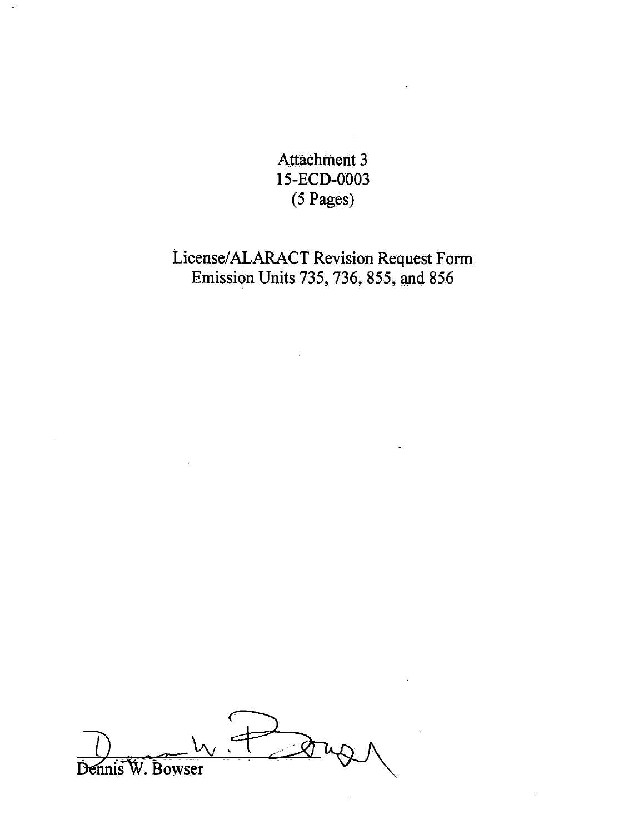**Attachment 3** 15-ECD-0003  $(5 \text{ Pages})$ 

# License/ALARACT Revision Request Form Emission Units 735, 736, 855, and 856

Dennis W. Bowser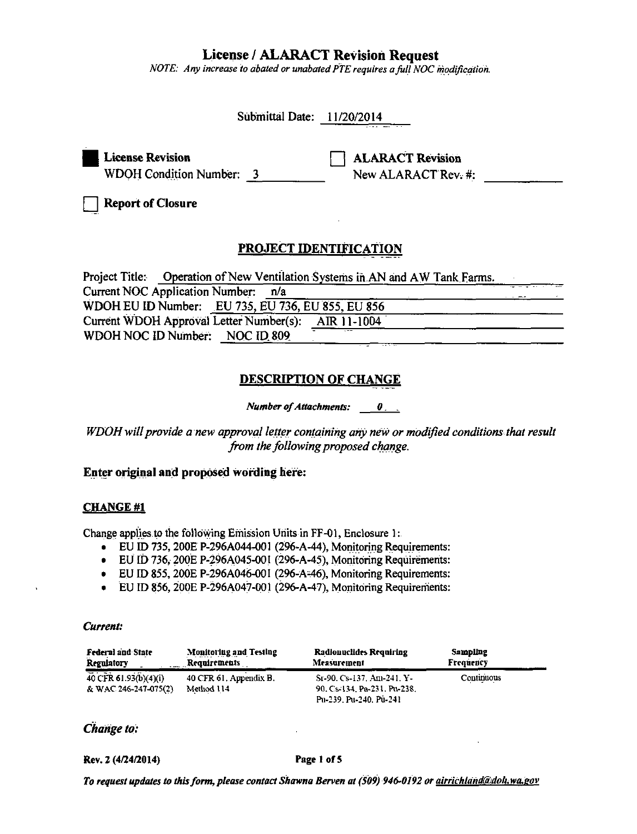# **License / ALARACT Revision Request**

NOTE: Any increase to abated or unabated PTE requires a full NOC modification.

| Submittal Date: 11/20/2014                                                             |                                                               |
|----------------------------------------------------------------------------------------|---------------------------------------------------------------|
| <b>License Revision</b><br><b>WDOH Condition Number: 3</b><br><b>Report of Closure</b> | <b>ALARACT Revision</b><br>New ALARACT Rev. #:                |
| PROJECT IDENTIFICATION<br>Jeniaar Titlar                                               | Operation of New Ventilation Systems in AN and AM Tople Forms |

Project Title: Operation of New Ventilation Systems in AN and AW Tank Farms. **Current NOC Application Number:**  $n/a$ WDOH EU ID Number: EU 735, EU 736, EU 855, EU 856 Current WDOH Approval Letter Number(s): AIR 11-1004 WDOH NOC ID Number: NOC ID 809

# **DESCRIPTION OF CHANGE**

**Number of Attachments:**  $\theta$ .

WDOH will provide a new approval letter containing any new or modified conditions that result from the following proposed change.

# Enter original and proposed wording here:

# **CHANGE #1**

Change applies to the following Emission Units in FF-01, Enclosure 1:

- EU ID 735, 200E P-296A044-001 (296-A-44), Monitoring Requirements:
- EU ID 736, 200E P-296A045-001 (296-A-45), Monitoring Requirements:
- EU ID 855, 200E P-296A046-001 (296-A-46), Monitoring Requirements:
- EU ID 856, 200E P-296A047-001 (296-A-47), Monitoring Requirements:

#### Current:

| <b>Federal and State</b>                      | <b>Monitoring and Testing</b>        | <b>Radionuclides Requiring</b>                                                     | Sampling          |  |
|-----------------------------------------------|--------------------------------------|------------------------------------------------------------------------------------|-------------------|--|
| <b>Regulatory</b>                             | . Requirements                       | Measurement                                                                        | Frequency         |  |
| 40 CFR 61.93(b)(4)(i)<br>& WAC 246-247-075(2) | 40 CFR 61, Appendix B.<br>Method 114 | Sr-90, Cs-137, Am-241, Y-<br>90, Cs 134, Pa 231, Pu 238,<br>Pu-239, Pu-240, Pu-241 | <b>Continuous</b> |  |

# Change to:

Rev. 2 (4/24/2014)

#### Page 1 of 5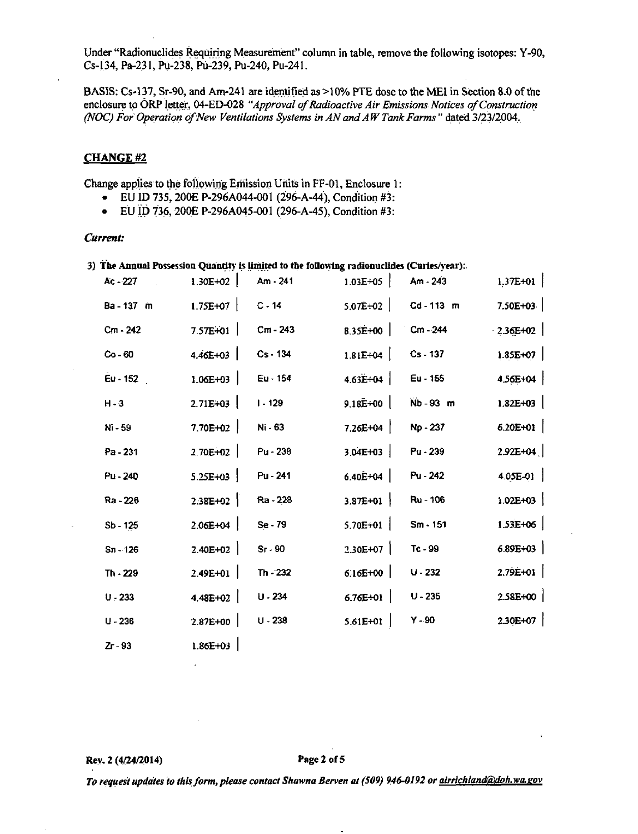Under "Radionuclides Requiring Measurement" column in table, remove the following isotopes: Y-90, Cs-134, Pa-231, Pu-238, Pu-239, Pu-240, Pu-241.

BASIS: Cs-137, Sr-90, and Am-241 are identified as >10% PTE dose to the MEI in Section 8.0 of the enclosure to ORP letter, 04-ED-028 "Approval of Radioactive Air Emissions Notices of Construction (NOC) For Operation of New Ventilations Systems in AN and AW Tank Farms" dated 3/23/2004.

# **CHANGE#2**

l,

Change applies to the following Emission Units in FF-01, Enclosure 1:

- EU ID 735, 200E P-296A044-001 (296-A-44), Condition #3:
- EU ID 736, 200E P-296A045-001 (296-A-45), Condition #3:

#### Current:

|                                        |          |                 | 3) The Annual Possession Quantity is limited to the following radionuclides (Curies/year): |                           |
|----------------------------------------|----------|-----------------|--------------------------------------------------------------------------------------------|---------------------------|
| $\mathbf{A}$ $\mathbf{A}$ $\mathbf{A}$ | 1.207182 | <b>ALCOHOL:</b> |                                                                                            | $\mathbf{A} = \mathbf{A}$ |

| Ac - 227            | 1.30E+02     | $Am - 241$ | $1.03E + 05$ | Am - 243     | $1.37E+01$   |
|---------------------|--------------|------------|--------------|--------------|--------------|
| Ba - 137 m          | $1.75E+07$   | $C - 14$   | $5.07E + 02$ | $Cd - 113$ m | $7.50E+03$   |
| Cm - 242            | $7.57E+01$   | $Cm - 243$ | $8.35E+00$   | $Cm - 244$   | $2.36E+02$   |
| $Co - 60$           | $4.46E + 03$ | Cs - 134   | $1.81E+04$   | Cs - 137     | $1.85E+07$   |
| $\tilde{E}$ u - 152 | $1.06E+03$   | Eu - 154   | $4.63E+04$   | Eu - 155     | $4.56E+04$   |
| $H - 3$             | $2.71E+03$   | $1 - 129$  | $9.18E + 00$ | $Nb - 93$ m  | $1.82E + 03$ |
| Ni - 59             | 7.70E+02     | Ni - 63    | $7.26E+04$   | Np - 237     | $6.20E + 01$ |
| Pa - 231            | $2.70E+02$   | Pu - 238   | $3.04E + 03$ | Pu - 239     | $2.92E+04$   |
| Pu - 240            | $5.25E+03$   | Pu - 241   | $6.40E+04$   | Pu - 242     | $4.05E-01$   |
| Ra - 226            | $2.38E+02$   | Ra - 228   | $3.87E+01$   | Ru - 106     | $1.02E + 03$ |
| Sb - 125            | $2.06E+04$   | Se - 79    | $5.70E+01$   | $Sm - 151$   | $1.53E+06$   |
| $Sn - 126$          | $2.40E+02$   | $Sr-90$    | $2.30E+07$   | $Tc - 99$    | $6.89E + 03$ |
| Th - 229            | $2.49E + 01$ | $Th - 232$ | $6.16E+00$   | $U - 232$    | $2.79E+01$   |
| $U - 233$           | $4.48E+02$   | $U - 234$  | $6.76E+01$   | $U - 235$    | 2.58E+00     |
| $U - 236$           | $2.87E+00$   | $U - 238$  | $5.61E+01$   | $Y - 90$     | $2.30E+07$   |
| Zr - 93             | $1.86E + 03$ |            |              |              |              |

 $\mathcal{L}$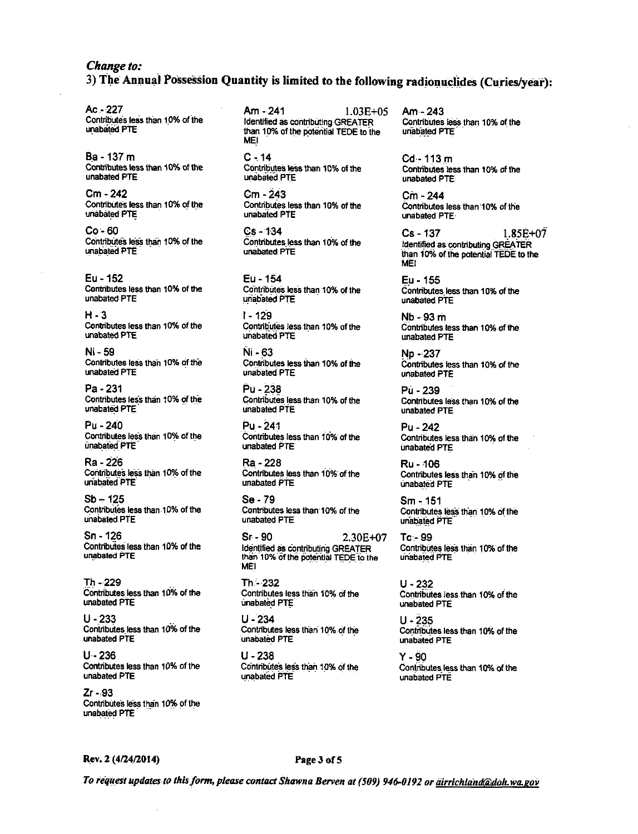# Change to: 3) The Annual Possession Quantity is limited to the following radionuclides (Curies/year):

Ac - 227 Contributes less than 10% of the unabated PTE

Ba - 137 m Contributes less than 10% of the **unabated PTF** 

Cm - 242 Contributes less than 10% of the unabated PTE

 $Co - 60$ Contributes less than 10% of the unabated PTE

Eu - 152 Contributes less than 10% of the unabated PTE

 $H - 3$ Contributes less than 10% of the unabated PTE

Ni - 59 Contributes less than 10% of the unabated PTE

 $Pa - 231$ Contributes less than 10% of the unabated PTE

Pu - 240 Contributes less than 10% of the unabated PTE

Ra - 226 Contributes less than 10% of the unabated PTE

 $Sb - 125$ Contributes less than 10% of the unabated PTE

Sn - 126 Contributes less than 10% of the unabated PTE

Th-229 Contributes less than 10% of the unabated PTE

 $11 - 233$ Contributes less than 10% of the unabated PTF

 $U - 236$ Contributes less than 10% of the unabated PTE

Zr - 93 Contributes less than 10% of the unabated PTE

Am - 241  $1.03E + 0.5$ Identified as contributing GREATER than 10% of the potential TEDE to the **MEI** 

 $C - 14$ Contributes less than 10% of the unabated PTE

Cm - 243 Contributes less than 10% of the unabated PTE

 $Cs - 134$ Contributes less than 10% of the unabated PTF

Eu - 154 Contributes less than 10% of the unabated PTE

 $1 - 129$ Contributes less than 10% of the unabated PTE

 $N = 63$ Contributes less than 10% of the unabated PTE

Pu - 238 Contributes less than 10% of the unabated PTE

Pu - 241 Contributes less than 10% of the unabated PTF

Ra - 228 Contributes less than 10% of the unabated PTF

Se - 79 Contributes less than 10% of the unabated PTE

Sr - 90 2.30E+07 Identified as contributing GREATER than 10% of the potential TEDE to the **MFI** 

Th - 232 Contributes less than 10% of the unabated PTE

 $U - 234$ Contributes less than 10% of the unabated PTE

 $U - 238$ Contributes less than 10% of the unabated PTE

 $Am - 243$ Contributes less than 10% of the unabated PTE

 $Cd - 113m$ Contributes less than 10% of the unabated PTE

Cm - 244 Contributes less than 10% of the unabated PTE

Cs - 137  $1.85E + 07$ Identified as contributing GREATER than 10% of the potential TEDE to the MET

Eu - 155 Contributes less than 10% of the unabated PTE

Nb - 93 m Contributes less than 10% of the unabated PTE

No - 237 Contributes less than 10% of the unabated PTE

Pù - 239 Contributes less than 10% of the unabated PTE

Pu - 242 Contributes less than 10% of the unabated PTE

Ru - 106 Contributes less than 10% of the unabated PTE

Sm - 151 Contributes less than 10% of the unabated PTE

Tc 99 Contributes less than 10% of the unabated PTE

 $U - 232$ Contributes less than 10% of the unabated PTE

 $U - 235$ Contributes less than 10% of the unabated PTE

 $Y - 90$ Contributes less than 10% of the unabated PTF

Rev. 2 (4/24/2014)

#### Page 3 of 5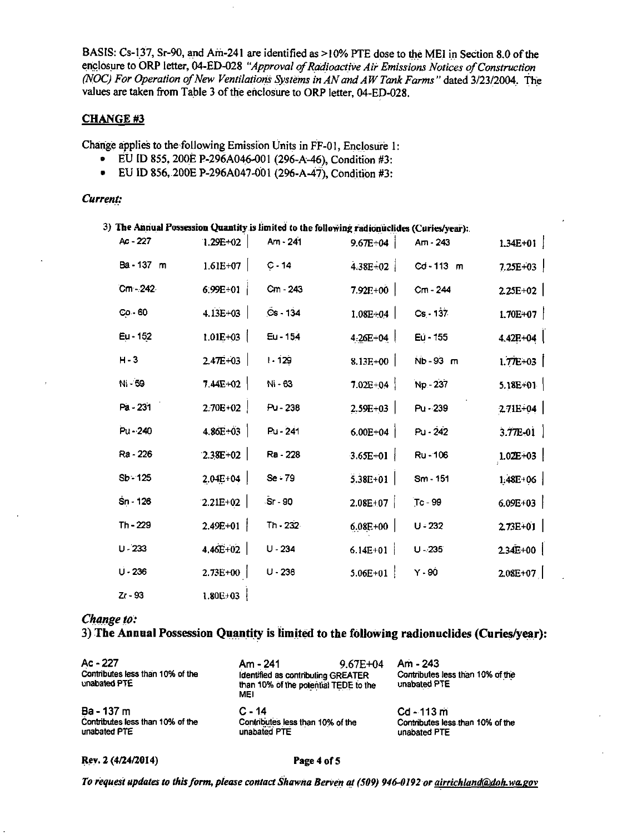BASIS: Cs-137, Sr-90, and Am-241 are identified as >10% PTE dose to the MEI in Section 8.0 of the enclosure to ORP letter, 04-ED-028 "Approval of Radioactive Air Emissions Notices of Construction (NOC) For Operation of New Ventilations Systems in AN and AW Tank Farms" dated 3/23/2004. The values are taken from Table 3 of the enclosure to ORP letter, 04-ED-028.

## **CHANGE#3**

Change applies to the following Emission Units in FF-01, Enclosure 1:

- EU ID 855, 200E P-296A046-001 (296-A-46), Condition #3:
- EU ID 856, 200E P-296A047-001 (296-A-47), Condition #3:

#### Current:

|            |              |            | 3) The Annual Possession Quantity is limited to the following radionuclides (Curies/year): |            |              |
|------------|--------------|------------|--------------------------------------------------------------------------------------------|------------|--------------|
| Ac - 227   | $1.29E + 02$ | $Am - 241$ | $9.67E - 04$                                                                               | Am - 243   | $1.34E+01$   |
| Ba-137 m   | $1.61E+07$   | $C - 14$   | 4.38E+02                                                                                   | Cd-113 m   | $7.25E + 03$ |
| $Cm - 242$ | 6:99E+01     | Cm - 243   | $7.92E + 00$                                                                               | Cm - 244   | $2.25E+02$   |
| $Co - 60$  | $4.13E+03$   | $Cs - 134$ | $1.08E + 0.4$                                                                              | $Cs - 137$ | $1.70E+07$   |
| Eu - 152   | $1.01E + 03$ | Eu - 154   | 4.26E+04                                                                                   | Eu - 155   | $4.42E + 04$ |
| $H - 3$    | $2.47E+03$   | $1 - 129$  | $8.13E+00$                                                                                 | Nb-93 m    | $1.77E+03$   |
| Ni - 59    | $7.44E+02$   | Ni - 63    | $7.02E + 04$                                                                               | Np - 237   | $5.18E + 01$ |
| Pa - 231   | $2.70E+02$   | Pu - 238   | $2.59E + 03$                                                                               | $Pu - 239$ | $271E+04$    |
| Pu - 240   | $4.86E+03$   | Pu - 241   | $6.00E + 04$                                                                               | Pu - 242   | $3.77E - 01$ |
| Ra - 226   | $2.38E+02$   | Ra - 228   | $3.65E + 01$                                                                               | Ru-106     | $1.02E+03$   |
| $Sp - 125$ | $2.04E+04$   | Se - 79    | $5.38E + 01$                                                                               | Sm - 151   | $1.48E + 06$ |
| Sn - 126   | $2.21E+02$   | Sr 90      | $2.08E+07$                                                                                 | Tc - 99    | $6.09E + 03$ |
| Th - 229   | $2.49E + 01$ | Th - 232   | $6.08E + 00$                                                                               | $U - 232$  | $2.73E+01$   |
| $U - 233$  | $4.46E + 02$ | $U - 234$  | 6.14E+01                                                                                   | $U - 235$  | $2.34E+00$   |
| $U - 236$  | $2.73E+00$   | $U - 238$  | $5.06E + 01$                                                                               | $Y - 90$   | $2.08E+07$   |
| $Z - 93$   | $1.80E + 03$ |            |                                                                                            |            |              |

#### Change to:

# 3) The Annual Possession Quantity is limited to the following radionuclides (Curies/year):

| Ac - 227<br>Contributes less than 10% of the<br>unabated PTE | Am - 241<br>Identified as contributing GREATER<br>than 10% of the potential TEDE to the<br><b>MEI</b> | $9.67E + 04$ | Am - 243<br>Contributes less than 10% of the<br>unabated PTE |
|--------------------------------------------------------------|-------------------------------------------------------------------------------------------------------|--------------|--------------------------------------------------------------|
| Ba - 137 m                                                   | $C - 14$                                                                                              |              | Cd - 113 m                                                   |
| Contributes less than 10% of the                             | Contributes less than 10% of the                                                                      |              | Contributes less than 10% of the                             |
| unabated PTE                                                 | unabated PTE                                                                                          |              | unabated PTE                                                 |

Rev. 2 (4/24/2014)

#### Page 4 of 5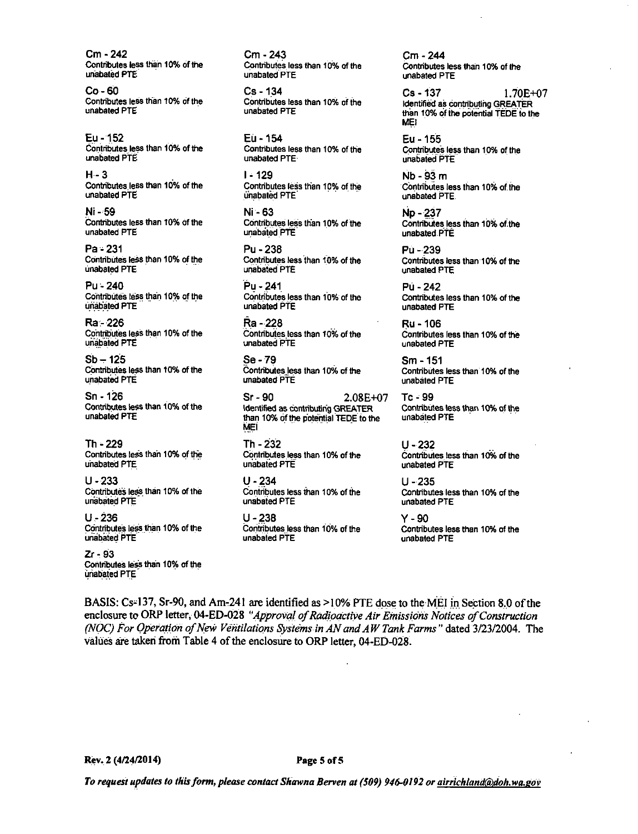Cm - 242 Contributes less than 10% of the unabated PTE

 $Co - 60$ Contributes less than 10% of the unabated PTE

Eu - 152 Contributes less than 10% of the unabated PTE

 $H - 3$ Contributes less than 10% of the unabated PTE

Ni - 59 Contributes less than 10% of the unabated PTE

 $Pa - 231$ Contributes less than 10% of the unabated PTE

Pu - 240 Contributes less than 10% of the unabated PTE

Ra - 226 Contributes less than 10% of the unabated PTE

 $Sb - 125$ Contributes less than 10% of the unabated PTE

 $Sn - 126$ Contributes less than 10% of the unabated PTE

 $Th - 229$ Contributes less than 10% of the unabated PTE

 $U - 233$ Contributes less than 10% of the unabated PTE

 $U - 236$ Contributes less than 10% of the unabated PTE

 $Zr - 93$ Contributes less than 10% of the unabated PTE

Cm - 243 Contributes less than 10% of the unabated PTE

 $Cs - 134$ Contributes less than 10% of the unabated PTE

Eu - 154 Contributes less than 10% of the unabated PTE-

 $1 - 129$ Contributes less than 10% of the unabated PTE

Ni - 63 Contributes less than 10% of the unabated PTE

Pu - 238 Contributes less than 10% of the unabated PTF

Pu - 241 Contributes less than 10% of the unabated PTE

Ra - 228 Contributes less than 10% of the unabated PTE

Se - 79 Contributes less than 10% of the unabated PTE

 $Sr-90$  $2.08E + 07$ Identified as contributing GREATER than 10% of the potential TEDE to the MEI

Th - 232 Contributes less than 10% of the unabated PTE

 $U - 234$ Contributes less than 10% of the unabated PTE

 $U - 238$ Contributes less than 10% of the unabated PTE

Cm - 244 Contributes less than 10% of the unabated PTE

 $Cs - 137$ 1.70E+07 identified as contributing GREATER than 10% of the potential TEDE to the MF!

Eu - 155 Contributes less than 10% of the unabated PTE

 $Nb - 93 m$ Contributes less than 10% of the unabated PTE.

Np - 237 Contributes less than 10% of the unabated PTE

Pú - 239 Contributes less than 10% of the unabated PTE

Pú - 242 Contributes less than 10% of the unabated PTE

Ru - 106 Contributes less than 10% of the unabated PTF

Sm - 151 Contributes less than 10% of the unabated PTE

 $Te = 99$ Contributes less than 10% of the unabated PTE

U - 232 Contributes less than 10% of the unabated PTE

 $U - 235$ Contributes less than 10% of the unabated PTE

 $Y - 90$ Contributes less than 10% of the unabated PTF

BASIS: Cs-137, Sr-90, and Am-241 are identified as >10% PTE dose to the MEI in Section 8.0 of the enclosure to ORP letter, 04-ED-028 "Approval of Radioactive Air Emissions Notices of Construction (NOC) For Operation of New Ventilations Systems in AN and AW Tank Farms" dated 3/23/2004. The values are taken from Table 4 of the enclosure to ORP letter, 04-ED-028.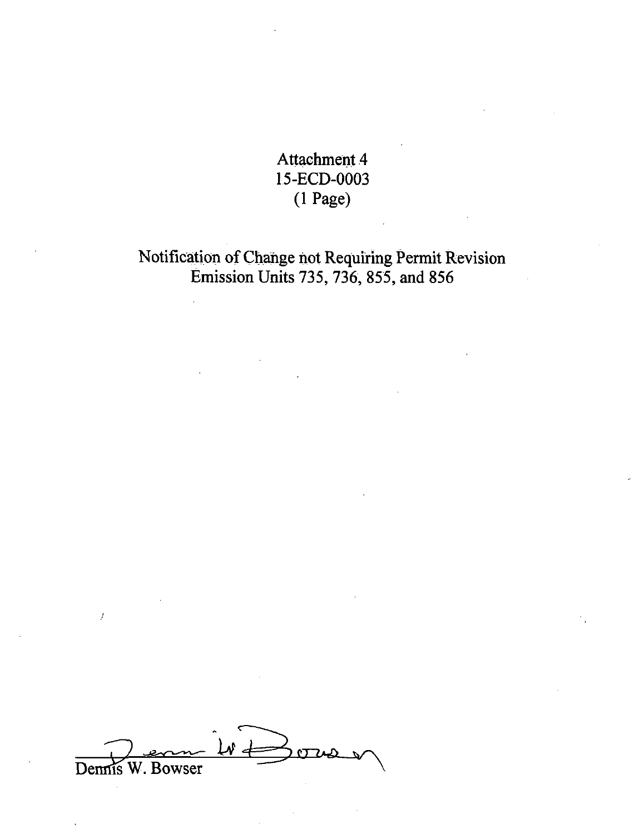Attachment 4 15-ECD-0003 (1 Page)

Notification of Change not Requiring Permit Revision Emission Units 735, 736, 855, and 856

 $\mathbf{v} \in$ W. Bowser Dennis